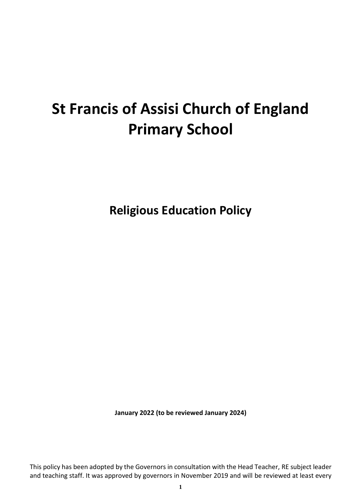### **St Francis of Assisi Church of England Primary School**

**Religious Education Policy**

**January 2022 (to be reviewed January 2024)**

This policy has been adopted by the Governors in consultation with the Head Teacher, RE subject leader and teaching staff. It was approved by governors in November 2019 and will be reviewed at least every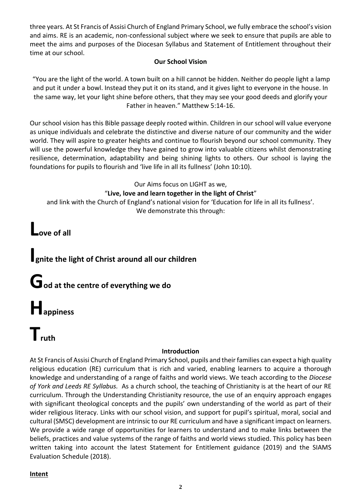three years. At St Francis of Assisi Church of England Primary School, we fully embrace the school's vision and aims. RE is an academic, non-confessional subject where we seek to ensure that pupils are able to meet the aims and purposes of the Diocesan Syllabus and Statement of Entitlement throughout their time at our school.

#### **Our School Vision**

"You are the light of the world. A town built on a hill cannot be hidden. Neither do people light a lamp and put it under a bowl. Instead they put it on its stand, and it gives light to everyone in the house. In the same way, let your light shine before others, that they may see your good deeds and glorify your Father in heaven." Matthew 5:14-16.

Our school vision has this Bible passage deeply rooted within. Children in our school will value everyone as unique individuals and celebrate the distinctive and diverse nature of our community and the wider world. They will aspire to greater heights and continue to flourish beyond our school community. They will use the powerful knowledge they have gained to grow into valuable citizens whilst demonstrating resilience, determination, adaptability and being shining lights to others. Our school is laying the foundations for pupils to flourish and 'live life in all its fullness' (John 10:10).

Our Aims focus on LIGHT as we,

#### "**Live, love and learn together in the light of Christ**"

and link with the Church of England's national vision for 'Education for life in all its fullness'. We demonstrate this through:

**Love of all**

### **Ignite the light of Christ around all our children**

**God at the centre of everything we do**

## **Happiness**

# **Truth**

#### **Introduction**

At St Francis of Assisi Church of England Primary School, pupils and their families can expect a high quality religious education (RE) curriculum that is rich and varied, enabling learners to acquire a thorough knowledge and understanding of a range of faiths and world views. We teach according to the *Diocese of York and Leeds RE Syllabus.* As a church school, the teaching of Christianity is at the heart of our RE curriculum. Through the Understanding Christianity resource, the use of an enquiry approach engages with significant theological concepts and the pupils' own understanding of the world as part of their wider religious literacy. Links with our school vision, and support for pupil's spiritual, moral, social and cultural (SMSC) development are intrinsic to our RE curriculum and have a significant impact on learners. We provide a wide range of opportunities for learners to understand and to make links between the beliefs, practices and value systems of the range of faiths and world views studied. This policy has been written taking into account the latest Statement for Entitlement guidance (2019) and the SIAMS Evaluation Schedule (2018).

#### **Intent**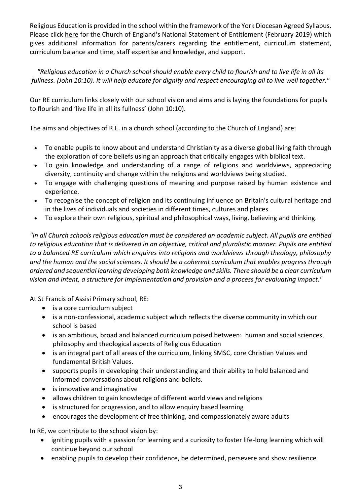Religious Education is provided in the school within the framework of the York Diocesan Agreed Syllabus. Please click [here](http://www.stfrancispri.org.uk/wp-content/uploads/2019/03/RE-Statement-of-Entitlement-for-Church-Schools.pdf) for the Church of England's National Statement of Entitlement (February 2019) which gives additional information for parents/carers regarding the entitlement, curriculum statement, curriculum balance and time, staff expertise and knowledge, and support.

*"Religious education in a Church school should enable every child to flourish and to live life in all its fullness. (John 10:10). It will help educate for dignity and respect encouraging all to live well together."*

Our RE curriculum links closely with our school vision and aims and is laying the foundations for pupils to flourish and 'live life in all its fullness' (John 10:10).

The aims and objectives of R.E. in a church school (according to the Church of England) are:

- To enable pupils to know about and understand Christianity as a diverse global living faith through the exploration of core beliefs using an approach that critically engages with biblical text.
- To gain knowledge and understanding of a range of religions and worldviews, appreciating diversity, continuity and change within the religions and worldviews being studied.
- To engage with challenging questions of meaning and purpose raised by human existence and experience.
- To recognise the concept of religion and its continuing influence on Britain's cultural heritage and in the lives of individuals and societies in different times, cultures and places.
- To explore their own religious, spiritual and philosophical ways, living, believing and thinking.

*"In all Church schools religious education must be considered an academic subject. All pupils are entitled to religious education that is delivered in an objective, critical and pluralistic manner. Pupils are entitled to a balanced RE curriculum which enquires into religions and worldviews through theology, philosophy and the human and the social sciences. It should be a coherent curriculum that enables progress through ordered and sequential learning developing both knowledge and skills. There should be a clear curriculum vision and intent, a structure for implementation and provision and a process for evaluating impact."*

At St Francis of Assisi Primary school, RE:

- is a core curriculum subject
- is a non-confessional, academic subject which reflects the diverse community in which our school is based
- is an ambitious, broad and balanced curriculum poised between: human and social sciences, philosophy and theological aspects of Religious Education
- is an integral part of all areas of the curriculum, linking SMSC, core Christian Values and fundamental British Values.
- supports pupils in developing their understanding and their ability to hold balanced and informed conversations about religions and beliefs.
- is innovative and imaginative
- allows children to gain knowledge of different world views and religions
- is structured for progression, and to allow enquiry based learning
- encourages the development of free thinking, and compassionately aware adults

In RE, we contribute to the school vision by:

- igniting pupils with a passion for learning and a curiosity to foster life-long learning which will continue beyond our school
- enabling pupils to develop their confidence, be determined, persevere and show resilience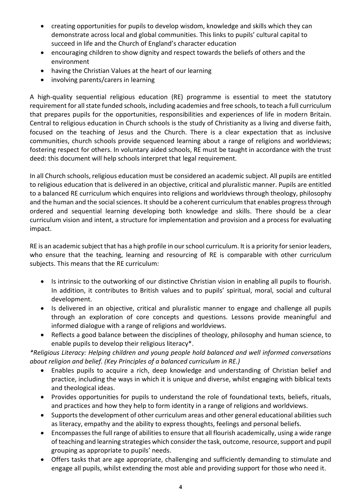- creating opportunities for pupils to develop wisdom, knowledge and skills which they can demonstrate across local and global communities. This links to pupils' cultural capital to succeed in life and the Church of England's character education
- encouraging children to show dignity and respect towards the beliefs of others and the environment
- having the Christian Values at the heart of our learning
- involving parents/carers in learning

A high-quality sequential religious education (RE) programme is essential to meet the statutory requirement for all state funded schools, including academies and free schools, to teach a full curriculum that prepares pupils for the opportunities, responsibilities and experiences of life in modern Britain. Central to religious education in Church schools is the study of Christianity as a living and diverse faith, focused on the teaching of Jesus and the Church. There is a clear expectation that as inclusive communities, church schools provide sequenced learning about a range of religions and worldviews; fostering respect for others. In voluntary aided schools, RE must be taught in accordance with the trust deed: this document will help schools interpret that legal requirement.

In all Church schools, religious education must be considered an academic subject. All pupils are entitled to religious education that is delivered in an objective, critical and pluralistic manner. Pupils are entitled to a balanced RE curriculum which enquires into religions and worldviews through theology, philosophy and the human and the social sciences. It should be a coherent curriculum that enables progress through ordered and sequential learning developing both knowledge and skills. There should be a clear curriculum vision and intent, a structure for implementation and provision and a process for evaluating impact.

RE is an academic subject that has a high profile in our school curriculum. It is a priority for senior leaders, who ensure that the teaching, learning and resourcing of RE is comparable with other curriculum subjects. This means that the RE curriculum:

- Is intrinsic to the outworking of our distinctive Christian vision in enabling all pupils to flourish. In addition, it contributes to British values and to pupils' spiritual, moral, social and cultural development.
- Is delivered in an objective, critical and pluralistic manner to engage and challenge all pupils through an exploration of core concepts and questions. Lessons provide meaningful and informed dialogue with a range of religions and worldviews.
- Reflects a good balance between the disciplines of theology, philosophy and human science, to enable pupils to develop their religious literacy\*.

*\*Religious Literacy: Helping children and young people hold balanced and well informed conversations about religion and belief. (Key Principles of a balanced curriculum in RE.)*

- Enables pupils to acquire a rich, deep knowledge and understanding of Christian belief and practice, including the ways in which it is unique and diverse, whilst engaging with biblical texts and theological ideas.
- Provides opportunities for pupils to understand the role of foundational texts, beliefs, rituals, and practices and how they help to form identity in a range of religions and worldviews.
- Supports the development of other curriculum areas and other general educational abilities such as literacy, empathy and the ability to express thoughts, feelings and personal beliefs.
- Encompasses the full range of abilities to ensure that all flourish academically, using a wide range of teaching and learning strategies which consider the task, outcome, resource, support and pupil grouping as appropriate to pupils' needs.
- Offers tasks that are age appropriate, challenging and sufficiently demanding to stimulate and engage all pupils, whilst extending the most able and providing support for those who need it.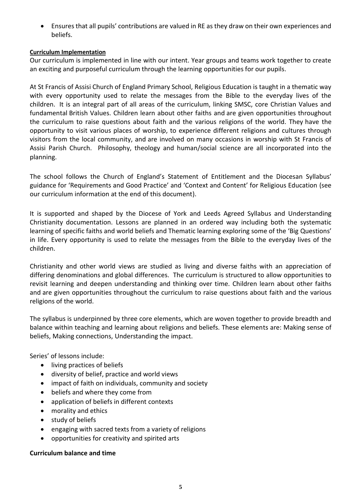• Ensures that all pupils' contributions are valued in RE as they draw on their own experiences and beliefs.

#### **Curriculum Implementation**

Our curriculum is implemented in line with our intent. Year groups and teams work together to create an exciting and purposeful curriculum through the learning opportunities for our pupils.

At St Francis of Assisi Church of England Primary School, Religious Education is taught in a thematic way with every opportunity used to relate the messages from the Bible to the everyday lives of the children. It is an integral part of all areas of the curriculum, linking SMSC, core Christian Values and fundamental British Values. Children learn about other faiths and are given opportunities throughout the curriculum to raise questions about faith and the various religions of the world. They have the opportunity to visit various places of worship, to experience different religions and cultures through visitors from the local community, and are involved on many occasions in worship with St Francis of Assisi Parish Church. Philosophy, theology and human/social science are all incorporated into the planning.

The school follows the Church of England's Statement of Entitlement and the Diocesan Syllabus' guidance for 'Requirements and Good Practice' and 'Context and Content' for Religious Education (see our curriculum information at the end of this document).

It is supported and shaped by the Diocese of York and Leeds Agreed Syllabus and Understanding Christianity documentation. Lessons are planned in an ordered way including both the systematic learning of specific faiths and world beliefs and Thematic learning exploring some of the 'Big Questions' in life. Every opportunity is used to relate the messages from the Bible to the everyday lives of the children.

Christianity and other world views are studied as living and diverse faiths with an appreciation of differing denominations and global differences. The curriculum is structured to allow opportunities to revisit learning and deepen understanding and thinking over time. Children learn about other faiths and are given opportunities throughout the curriculum to raise questions about faith and the various religions of the world.

The syllabus is underpinned by three core elements, which are woven together to provide breadth and balance within teaching and learning about religions and beliefs. These elements are: Making sense of beliefs, Making connections, Understanding the impact.

Series' of lessons include:

- living practices of beliefs
- diversity of belief, practice and world views
- impact of faith on individuals, community and society
- beliefs and where they come from
- application of beliefs in different contexts
- morality and ethics
- study of beliefs
- engaging with sacred texts from a variety of religions
- opportunities for creativity and spirited arts

#### **Curriculum balance and time**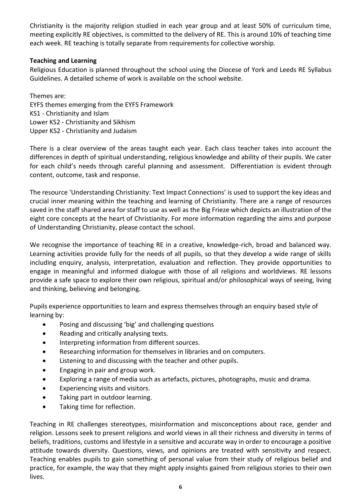Christianity is the majority religion studied in each year group and at least 50% of curriculum time, meeting explicitly RE objectives, is committed to the delivery of RE. This is around 10% of teaching time each week. RE teaching is totally separate from requirements for collective worship.

#### **Teaching and Learning**

Religious Education is planned throughout the school using the Diocese of York and Leeds RE Syllabus Guidelines. A detailed scheme of work is available on the school website.

Themes are: EYFS themes emerging from the EYFS Framework KS1 - Christianity and Islam Lower KS2 - Christianity and Sikhism Upper KS2 - Christianity and Judaism

There is a clear overview of the areas taught each year. Each class teacher takes into account the differences in depth of spiritual understanding, religious knowledge and ability of their pupils. We cater for each child's needs through careful planning and assessment. Differentiation is evident through content, outcome, task and response.

The resource 'Understanding Christianity: Text Impact Connections' is used to support the key ideas and crucial inner meaning within the teaching and learning of Christianity. There are a range of resources saved in the staff shared area for staff to use as well as the Big Frieze which depicts an illustration of the eight core concepts at the heart of Christianity. For more information regarding the aims and purpose of Understanding Christianity, please contact the school.

We recognise the importance of teaching RE in a creative, knowledge-rich, broad and balanced way. Learning activities provide fully for the needs of all pupils, so that they develop a wide range of skills including enquiry, analysis, interpretation, evaluation and reflection. They provide opportunities to engage in meaningful and informed dialogue with those of all religions and worldviews. RE lessons provide a safe space to explore their own religious, spiritual and/or philosophical ways of seeing, living and thinking, believing and belonging.

Pupils experience opportunities to learn and express themselves through an enquiry based style of learning by:

- Posing and discussing 'big' and challenging questions
- Reading and critically analysing texts.
- Interpreting information from different sources.
- Researching information for themselves in libraries and on computers.
- Listening to and discussing with the teacher and other pupils.
- Engaging in pair and group work.
- Exploring a range of media such as artefacts, pictures, photographs, music and drama.
- Experiencing visits and visitors.
- Taking part in outdoor learning.
- Taking time for reflection.

Teaching in RE challenges stereotypes, misinformation and misconceptions about race, gender and religion. Lessons seek to present religions and world views in all their richness and diversity in terms of beliefs, traditions, customs and lifestyle in a sensitive and accurate way in order to encourage a positive attitude towards diversity. Questions, views, and opinions are treated with sensitivity and respect. Teaching enables pupils to gain something of personal value from their study of religious belief and practice, for example, the way that they might apply insights gained from religious stories to their own lives.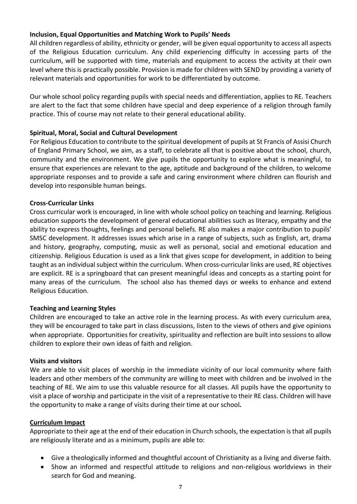#### **Inclusion, Equal Opportunities and Matching Work to Pupils' Needs**

All children regardless of ability, ethnicity or gender, will be given equal opportunity to access all aspects of the Religious Education curriculum. Any child experiencing difficulty in accessing parts of the curriculum, will be supported with time, materials and equipment to access the activity at their own level where this is practically possible. Provision is made for children with SEND by providing a variety of relevant materials and opportunities for work to be differentiated by outcome.

Our whole school policy regarding pupils with special needs and differentiation, applies to RE. Teachers are alert to the fact that some children have special and deep experience of a religion through family practice. This of course may not relate to their general educational ability.

#### **Spiritual, Moral, Social and Cultural Development**

For Religious Education to contribute to the spiritual development of pupils at St Francis of Assisi Church of England Primary School, we aim, as a staff, to celebrate all that is positive about the school, church, community and the environment. We give pupils the opportunity to explore what is meaningful, to ensure that experiences are relevant to the age, aptitude and background of the children, to welcome appropriate responses and to provide a safe and caring environment where children can flourish and develop into responsible human beings.

#### **Cross-Curricular Links**

Cross curricular work is encouraged, in line with whole school policy on teaching and learning. Religious education supports the development of general educational abilities such as literacy, empathy and the ability to express thoughts, feelings and personal beliefs. RE also makes a major contribution to pupils' SMSC development. It addresses issues which arise in a range of subjects, such as English, art, drama and history, geography, computing, music as well as personal, social and emotional education and citizenship. Religious Education is used as a link that gives scope for development, in addition to being taught as an individual subject within the curriculum. When cross-curricular links are used, RE objectives are explicit. RE is a springboard that can present meaningful ideas and concepts as a starting point for many areas of the curriculum. The school also has themed days or weeks to enhance and extend Religious Education.

#### **Teaching and Learning Styles**

Children are encouraged to take an active role in the learning process. As with every curriculum area, they will be encouraged to take part in class discussions, listen to the views of others and give opinions when appropriate. Opportunities for creativity, spirituality and reflection are built into sessions to allow children to explore their own ideas of faith and religion.

#### **Visits and visitors**

We are able to visit places of worship in the immediate vicinity of our local community where faith leaders and other members of the community are willing to meet with children and be involved in the teaching of RE. We aim to use this valuable resource for all classes. All pupils have the opportunity to visit a place of worship and participate in the visit of a representative to their RE class. Children will have the opportunity to make a range of visits during their time at our school*.*

#### **Curriculum Impact**

Appropriate to their age at the end of their education in Church schools, the expectation is that all pupils are religiously literate and as a minimum, pupils are able to:

- Give a theologically informed and thoughtful account of Christianity as a living and diverse faith.
- Show an informed and respectful attitude to religions and non-religious worldviews in their search for God and meaning.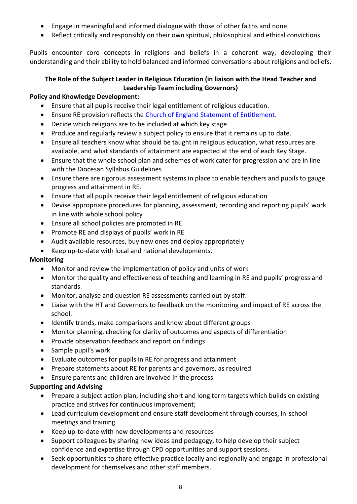- Engage in meaningful and informed dialogue with those of other faiths and none.
- Reflect critically and responsibly on their own spiritual, philosophical and ethical convictions.

Pupils encounter core concepts in religions and beliefs in a coherent way, developing their understanding and their ability to hold balanced and informed conversations about religions and beliefs.

#### **The Role of the Subject Leader in Religious Education (in liaison with the Head Teacher and Leadership Team including Governors)**

#### **Policy and Knowledge Development:**

- Ensure that all pupils receive their legal entitlement of religious education.
- Ensure RE provision reflects the Church of England Statement of Entitlement.
- Decide which religions are to be included at which key stage
- Produce and regularly review a subject policy to ensure that it remains up to date.
- Ensure all teachers know what should be taught in religious education, what resources are available, and what standards of attainment are expected at the end of each Key Stage.
- Ensure that the whole school plan and schemes of work cater for progression and are in line with the Diocesan Syllabus Guidelines
- Ensure there are rigorous assessment systems in place to enable teachers and pupils to gauge progress and attainment in RE.
- Ensure that all pupils receive their legal entitlement of religious education
- Devise appropriate procedures for planning, assessment, recording and reporting pupils' work in line with whole school policy
- Ensure all school policies are promoted in RE
- Promote RE and displays of pupils' work in RE
- Audit available resources, buy new ones and deploy appropriately
- Keep up-to-date with local and national developments.

#### **Monitoring**

- Monitor and review the implementation of policy and units of work
- Monitor the quality and effectiveness of teaching and learning in RE and pupils' progress and standards.
- Monitor, analyse and question RE assessments carried out by staff.
- Liaise with the HT and Governors to feedback on the monitoring and impact of RE across the school.
- Identify trends, make comparisons and know about different groups
- Monitor planning, checking for clarity of outcomes and aspects of differentiation
- Provide observation feedback and report on findings
- Sample pupil's work
- Evaluate outcomes for pupils in RE for progress and attainment
- Prepare statements about RE for parents and governors, as required
- Ensure parents and children are involved in the process.

#### **Supporting and Advising**

- Prepare a subject action plan, including short and long term targets which builds on existing practice and strives for continuous improvement;
- Lead curriculum development and ensure staff development through courses, in-school meetings and training
- Keep up-to-date with new developments and resources
- Support colleagues by sharing new ideas and pedagogy, to help develop their subject confidence and expertise through CPD opportunities and support sessions.
- Seek opportunities to share effective practice locally and regionally and engage in professional development for themselves and other staff members.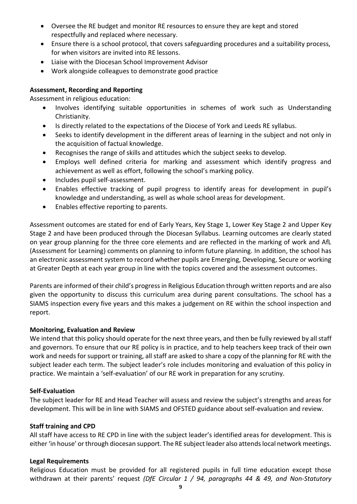- Oversee the RE budget and monitor RE resources to ensure they are kept and stored respectfully and replaced where necessary.
- Ensure there is a school protocol, that covers safeguarding procedures and a suitability process, for when visitors are invited into RE lessons.
- Liaise with the Diocesan School Improvement Advisor
- Work alongside colleagues to demonstrate good practice

#### **Assessment, Recording and Reporting**

Assessment in religious education:

- Involves identifying suitable opportunities in schemes of work such as Understanding Christianity.
- Is directly related to the expectations of the Diocese of York and Leeds RE syllabus.
- Seeks to identify development in the different areas of learning in the subject and not only in the acquisition of factual knowledge.
- Recognises the range of skills and attitudes which the subject seeks to develop.
- Employs well defined criteria for marking and assessment which identify progress and achievement as well as effort, following the school's marking policy.
- Includes pupil self-assessment.
- Enables effective tracking of pupil progress to identify areas for development in pupil's knowledge and understanding, as well as whole school areas for development.
- Enables effective reporting to parents.

Assessment outcomes are stated for end of Early Years, Key Stage 1, Lower Key Stage 2 and Upper Key Stage 2 and have been produced through the Diocesan Syllabus. Learning outcomes are clearly stated on year group planning for the three core elements and are reflected in the marking of work and AfL (Assessment for Learning) comments on planning to inform future planning. In addition, the school has an electronic assessment system to record whether pupils are Emerging, Developing, Secure or working at Greater Depth at each year group in line with the topics covered and the assessment outcomes.

Parents are informed of their child's progress in Religious Education through written reports and are also given the opportunity to discuss this curriculum area during parent consultations. The school has a SIAMS inspection every five years and this makes a judgement on RE within the school inspection and report.

#### **Monitoring, Evaluation and Review**

We intend that this policy should operate for the next three years, and then be fully reviewed by all staff and governors. To ensure that our RE policy is in practice, and to help teachers keep track of their own work and needs for support or training, all staff are asked to share a copy of the planning for RE with the subject leader each term. The subject leader's role includes monitoring and evaluation of this policy in practice. We maintain a 'self-evaluation' of our RE work in preparation for any scrutiny.

#### **Self-Evaluation**

The subject leader for RE and Head Teacher will assess and review the subject's strengths and areas for development. This will be in line with SIAMS and OFSTED guidance about self-evaluation and review.

#### **Staff training and CPD**

All staff have access to RE CPD in line with the subject leader's identified areas for development. This is either 'in house' or through diocesan support. The RE subject leader also attends local network meetings.

#### **Legal Requirements**

Religious Education must be provided for all registered pupils in full time education except those withdrawn at their parents' request *(DfE Circular 1 / 94, paragraphs 44 & 49, and Non-Statutory*